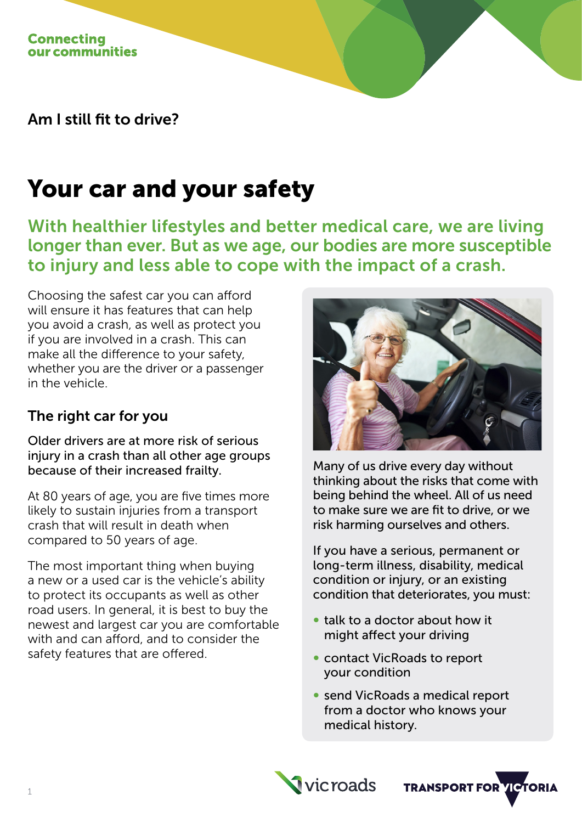Am I still fit to drive?

# Your car and your safety

With healthier lifestyles and better medical care, we are living longer than ever. But as we age, our bodies are more susceptible to injury and less able to cope with the impact of a crash.

Choosing the safest car you can afford will ensure it has features that can help you avoid a crash, as well as protect you if you are involved in a crash. This can make all the difference to your safety, whether you are the driver or a passenger in the vehicle.

## The right car for you

Older drivers are at more risk of serious injury in a crash than all other age groups because of their increased frailty.

At 80 years of age, you are five times more likely to sustain injuries from a transport crash that will result in death when compared to 50 years of age.

The most important thing when buying a new or a used car is the vehicle's ability to protect its occupants as well as other road users. In general, it is best to buy the newest and largest car you are comfortable with and can afford, and to consider the safety features that are offered.



Many of us drive every day without thinking about the risks that come with being behind the wheel. All of us need to make sure we are fit to drive, or we risk harming ourselves and others.

If you have a serious, permanent or long-term illness, disability, medical condition or injury, or an existing condition that deteriorates, you must:

- ∞ talk to a doctor about how it might affect your driving
- contact VicRoads to report your condition
- ∞ send VicRoads a medical report from a doctor who knows your medical history.

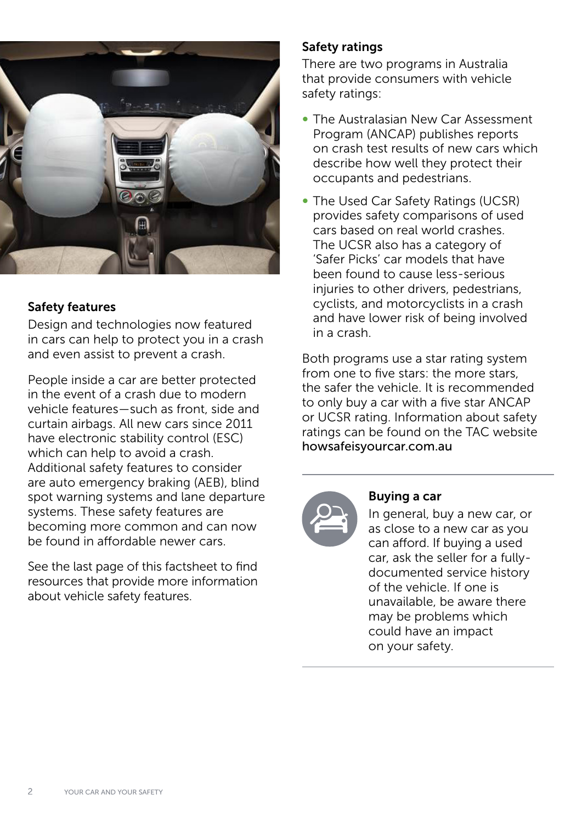

#### Safety features

Design and technologies now featured in cars can help to protect you in a crash and even assist to prevent a crash.

People inside a car are better protected in the event of a crash due to modern vehicle features—such as front, side and curtain airbags. All new cars since 2011 have electronic stability control (ESC) which can help to avoid a crash. Additional safety features to consider are auto emergency braking (AEB), blind spot warning systems and lane departure systems. These safety features are becoming more common and can now be found in affordable newer cars.

See the last page of this factsheet to find resources that provide more information about vehicle safety features.

### Safety ratings

There are two programs in Australia that provide consumers with vehicle safety ratings:

- ∞ The Australasian New Car Assessment Program (ANCAP) publishes reports on crash test results of new cars which describe how well they protect their occupants and pedestrians.
- ∞ The Used Car Safety Ratings (UCSR) provides safety comparisons of used cars based on real world crashes. The UCSR also has a category of 'Safer Picks' car models that have been found to cause less-serious injuries to other drivers, pedestrians, cyclists, and motorcyclists in a crash and have lower risk of being involved in a crash.

Both programs use a star rating system from one to five stars: the more stars, the safer the vehicle. It is recommended to only buy a car with a five star ANCAP or UCSR rating. Information about safety ratings can be found on the TAC website [howsafeisyourcar.com.au](http://howsafeisyourcar.com.au)



#### Buying a car

In general, buy a new car, or as close to a new car as you can afford. If buying a used car, ask the seller for a fullydocumented service history of the vehicle. If one is unavailable, be aware there may be problems which could have an impact on your safety.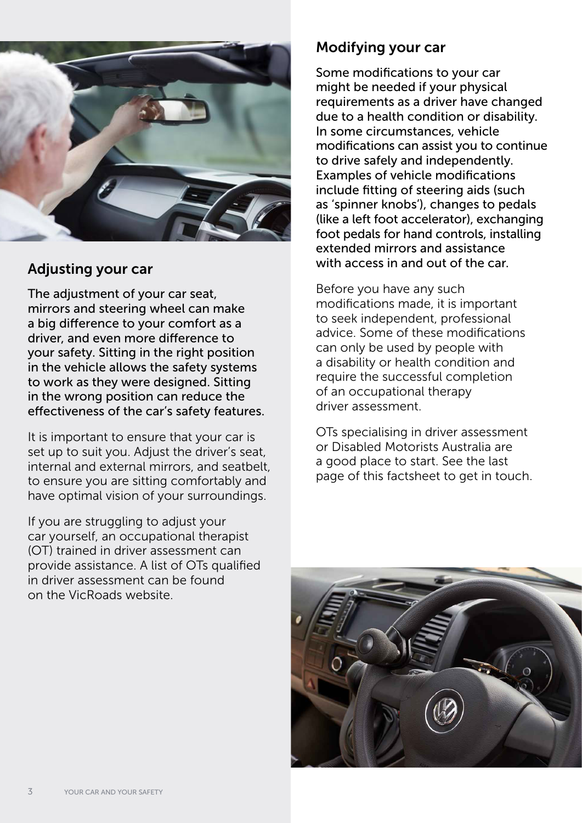

## Adjusting your car

The adjustment of your car seat, mirrors and steering wheel can make a big difference to your comfort as a driver, and even more difference to your safety. Sitting in the right position in the vehicle allows the safety systems to work as they were designed. Sitting in the wrong position can reduce the effectiveness of the car's safety features.

It is important to ensure that your car is set up to suit you. Adjust the driver's seat, internal and external mirrors, and seatbelt, to ensure you are sitting comfortably and have optimal vision of your surroundings.

If you are struggling to adjust your car yourself, an occupational therapist (OT) trained in driver assessment can provide assistance. A list of OTs qualified in driver assessment can be found on the VicRoads website.

## Modifying your car

Some modifications to your car might be needed if your physical requirements as a driver have changed due to a health condition or disability. In some circumstances, vehicle modifications can assist you to continue to drive safely and independently. Examples of vehicle modifications include fitting of steering aids (such as 'spinner knobs'), changes to pedals (like a left foot accelerator), exchanging foot pedals for hand controls, installing extended mirrors and assistance with access in and out of the car.

Before you have any such modifications made, it is important to seek independent, professional advice. Some of these modifications can only be used by people with a disability or health condition and require the successful completion of an occupational therapy driver assessment.

OTs specialising in driver assessment or Disabled Motorists Australia are a good place to start. See the last page of this factsheet to get in touch.